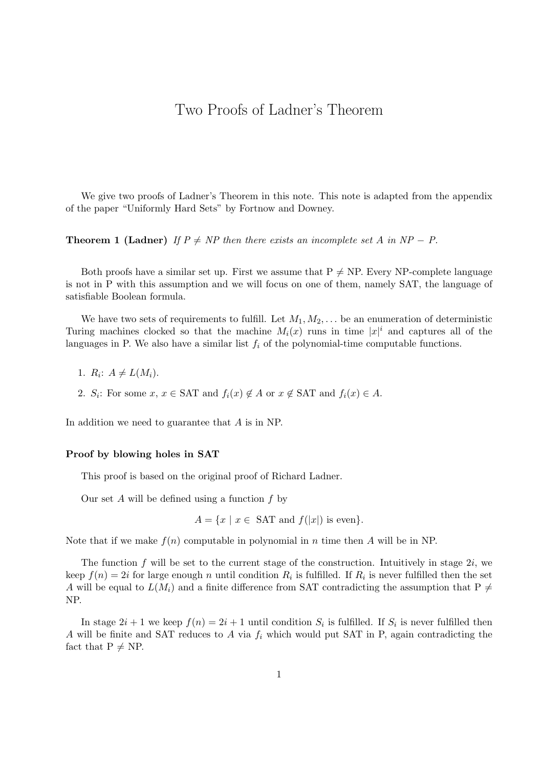## Two Proofs of Ladner's Theorem

We give two proofs of Ladner's Theorem in this note. This note is adapted from the appendix of the paper "Uniformly Hard Sets" by Fortnow and Downey.

**Theorem 1 (Ladner)** If  $P \neq NP$  then there exists an incomplete set A in NP – P.

Both proofs have a similar set up. First we assume that  $P \neq NP$ . Every NP-complete language is not in P with this assumption and we will focus on one of them, namely SAT, the language of satisfiable Boolean formula.

We have two sets of requirements to fulfill. Let  $M_1, M_2, \ldots$  be an enumeration of deterministic Turing machines clocked so that the machine  $M_i(x)$  runs in time  $|x|^i$  and captures all of the languages in P. We also have a similar list  $f_i$  of the polynomial-time computable functions.

- 1.  $R_i$ :  $A \neq L(M_i)$ .
- 2. S<sub>i</sub>: For some  $x, x \in \text{SAT}$  and  $f_i(x) \notin A$  or  $x \notin \text{SAT}$  and  $f_i(x) \in A$ .

In addition we need to guarantee that A is in NP.

## Proof by blowing holes in SAT

This proof is based on the original proof of Richard Ladner.

Our set A will be defined using a function  $f$  by

$$
A = \{ x \mid x \in \text{SAT and } f(|x|) \text{ is even} \}.
$$

Note that if we make  $f(n)$  computable in polynomial in n time then A will be in NP.

The function  $f$  will be set to the current stage of the construction. Intuitively in stage  $2i$ , we keep  $f(n) = 2i$  for large enough n until condition  $R_i$  is fulfilled. If  $R_i$  is never fulfilled then the set A will be equal to  $L(M_i)$  and a finite difference from SAT contradicting the assumption that P  $\neq$ NP.

In stage  $2i + 1$  we keep  $f(n) = 2i + 1$  until condition  $S_i$  is fulfilled. If  $S_i$  is never fulfilled then A will be finite and SAT reduces to A via  $f_i$  which would put SAT in P, again contradicting the fact that  $P \neq NP$ .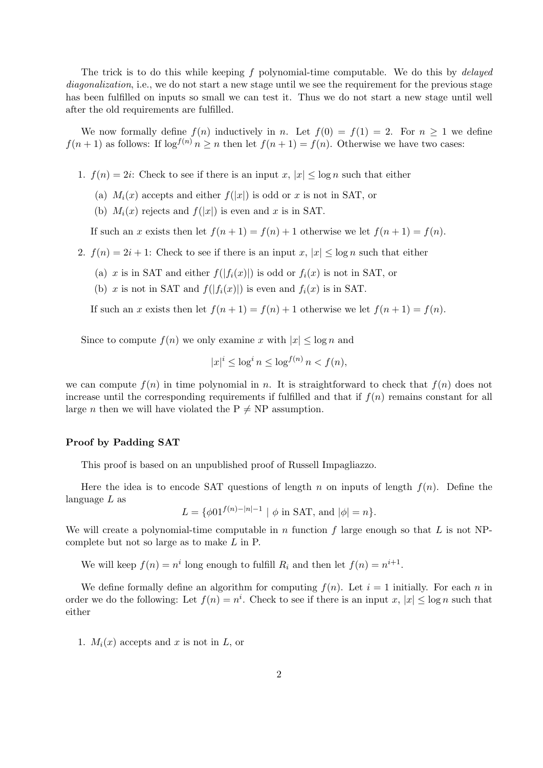The trick is to do this while keeping f polynomial-time computable. We do this by delayed diagonalization, i.e., we do not start a new stage until we see the requirement for the previous stage has been fulfilled on inputs so small we can test it. Thus we do not start a new stage until well after the old requirements are fulfilled.

We now formally define  $f(n)$  inductively in n. Let  $f(0) = f(1) = 2$ . For  $n \ge 1$  we define  $f(n+1)$  as follows: If  $\log^{f(n)} n \geq n$  then let  $f(n+1) = f(n)$ . Otherwise we have two cases:

- 1.  $f(n) = 2i$ : Check to see if there is an input x,  $|x| \leq \log n$  such that either
	- (a)  $M_i(x)$  accepts and either  $f(|x|)$  is odd or x is not in SAT, or
	- (b)  $M_i(x)$  rejects and  $f(|x|)$  is even and x is in SAT.

If such an x exists then let  $f(n+1) = f(n) + 1$  otherwise we let  $f(n+1) = f(n)$ .

- 2.  $f(n) = 2i + 1$ : Check to see if there is an input  $x, |x| \leq \log n$  such that either
	- (a) x is in SAT and either  $f(|f_i(x)|)$  is odd or  $f_i(x)$  is not in SAT, or
	- (b) x is not in SAT and  $f(|f_i(x)|)$  is even and  $f_i(x)$  is in SAT.

If such an x exists then let  $f(n+1) = f(n) + 1$  otherwise we let  $f(n+1) = f(n)$ .

Since to compute  $f(n)$  we only examine x with  $|x| \leq \log n$  and

$$
|x|^i \le \log^i n \le \log^{f(n)} n < f(n),
$$

we can compute  $f(n)$  in time polynomial in n. It is straightforward to check that  $f(n)$  does not increase until the corresponding requirements if fulfilled and that if  $f(n)$  remains constant for all large *n* then we will have violated the  $P \neq NP$  assumption.

## Proof by Padding SAT

This proof is based on an unpublished proof of Russell Impagliazzo.

Here the idea is to encode SAT questions of length n on inputs of length  $f(n)$ . Define the language  $L$  as

 $L = \{ \phi 01^{f(n)-|n|-1} \mid \phi \text{ in SAT, and } |\phi| = n \}.$ 

We will create a polynomial-time computable in n function f large enough so that L is not NPcomplete but not so large as to make L in P.

We will keep  $f(n) = n^i$  long enough to fulfill  $R_i$  and then let  $f(n) = n^{i+1}$ .

We define formally define an algorithm for computing  $f(n)$ . Let  $i = 1$  initially. For each n in order we do the following: Let  $f(n) = n^i$ . Check to see if there is an input  $x, |x| \leq \log n$  such that either

1.  $M_i(x)$  accepts and x is not in L, or